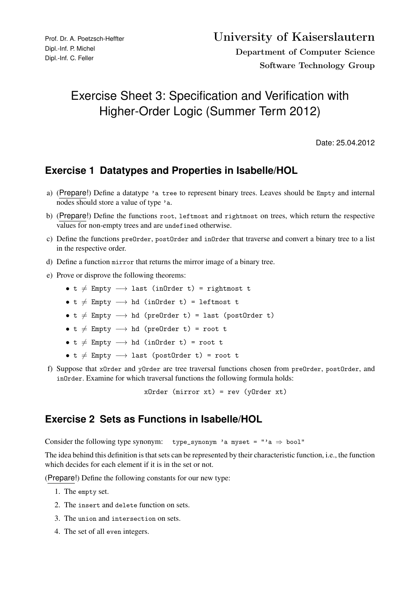# Exercise Sheet 3: Specification and Verification with Higher-Order Logic (Summer Term 2012)

Date: 25.04.2012

# **Exercise 1 Datatypes and Properties in Isabelle/HOL**

- a) (Prepare!) Define a datatype 'a tree to represent binary trees. Leaves should be Empty and internal nodes should store a value of type 'a.
- b) (Prepare!) Define the functions root, leftmost and rightmost on trees, which return the respective values for non-empty trees and are undefined otherwise.
- c) Define the functions preOrder, postOrder and inOrder that traverse and convert a binary tree to a list in the respective order.
- d) Define a function mirror that returns the mirror image of a binary tree.
- e) Prove or disprove the following theorems:
	- t  $\neq$  Empty  $\longrightarrow$  last (inOrder t) = rightmost t
	- t  $\neq$  Empty  $\longrightarrow$  hd (inOrder t) = leftmost t
	- $t \neq$  Empty  $\longrightarrow$  hd (preOrder t) = last (postOrder t)
	- t  $\neq$  Empty  $\longrightarrow$  hd (preOrder t) = root t
	- t  $\neq$  Empty  $\longrightarrow$  hd (inOrder t) = root t
	- t  $\neq$  Empty  $\longrightarrow$  last (postOrder t) = root t
- f) Suppose that xOrder and yOrder are tree traversal functions chosen from preOrder, postOrder, and inOrder. Examine for which traversal functions the following formula holds:

 $x0$ rder (mirror  $xt$ ) = rev (v $0$ rder  $xt$ )

### **Exercise 2 Sets as Functions in Isabelle/HOL**

Consider the following type synonym: type\_synonym 'a myset = "'a  $\Rightarrow$  bool"

The idea behind this definition is that sets can be represented by their characteristic function, i.e., the function which decides for each element if it is in the set or not.

(Prepare!) Define the following constants for our new type:

- 1. The empty set.
- 2. The insert and delete function on sets.
- 3. The union and intersection on sets.
- 4. The set of all even integers.